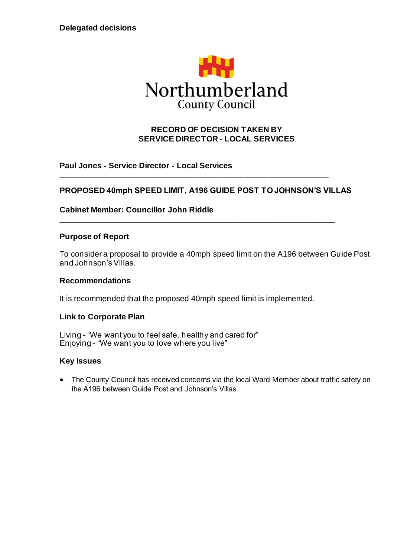

## **RECORD OF DECISION TAKEN BY SERVICE DIRECTOR - LOCAL SERVICES**

**Paul Jones - Service Director - Local Services**

## **PROPOSED 40mph SPEED LIMIT, A196 GUIDE POST TO JOHNSON'S VILLAS**

\_\_\_\_\_\_\_\_\_\_\_\_\_\_\_\_\_\_\_\_\_\_\_\_\_\_\_\_\_\_\_\_\_\_\_\_\_\_\_\_\_\_\_\_\_\_\_\_\_\_\_\_\_\_\_\_\_\_\_\_\_\_\_\_\_\_\_

\_\_\_\_\_\_\_\_\_\_\_\_\_\_\_\_\_\_\_\_\_\_\_\_\_\_\_\_\_\_\_\_\_\_\_\_\_\_\_\_\_\_\_\_\_\_\_\_\_\_\_\_\_\_\_\_\_\_\_\_\_\_

**Cabinet Member: Councillor John Riddle**

#### **Purpose of Report**

To consider a proposal to provide a 40mph speed limit on the A196 between Guide Post and Johnson's Villas.

#### **Recommendations**

It is recommended that the proposed 40mph speed limit is implemented.

#### **Link to Corporate Plan**

Living - "We want you to feel safe, healthy and cared for" Enjoying - "We want you to love where you live"

#### **Key Issues**

• The County Council has received concerns via the local Ward Member about traffic safety on the A196 between Guide Post and Johnson's Villas.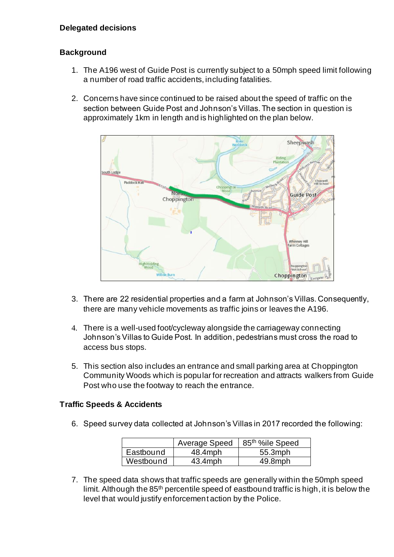# **Background**

- 1. The A196 west of Guide Post is currently subject to a 50mph speed limit following a number of road traffic accidents, including fatalities.
- 2. Concerns have since continued to be raised about the speed of traffic on the section between Guide Post and Johnson's Villas. The section in question is approximately 1km in length and is highlighted on the plan below.



- 3. There are 22 residential properties and a farm at Johnson's Villas. Consequently, there are many vehicle movements as traffic joins or leaves the A196.
- 4. There is a well-used foot/cycleway alongside the carriageway connecting Johnson's Villas to Guide Post. In addition, pedestrians must cross the road to access bus stops.
- 5. This section also includes an entrance and small parking area at Choppington Community Woods which is popular for recreation and attracts walkers from Guide Post who use the footway to reach the entrance.

# **Traffic Speeds & Accidents**

6. Speed survey data collected at Johnson's Villas in 2017 recorded the following:

|           | Average Speed | 85 <sup>th</sup> %ile Speed |
|-----------|---------------|-----------------------------|
| Eastbound | 48.4mph       | 55.3mph                     |
| Westbound | $43.4$ mph    | 49.8mph                     |

7. The speed data shows that traffic speeds are generally within the 50mph speed limit. Although the 85<sup>th</sup> percentile speed of eastbound traffic is high, it is below the level that would justify enforcement action by the Police.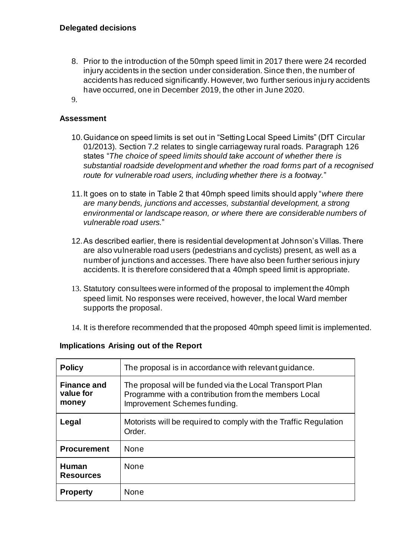- 8. Prior to the introduction of the 50mph speed limit in 2017 there were 24 recorded injury accidents in the section under consideration. Since then, the number of accidents has reduced significantly. However, two further serious inju ry accidents have occurred, one in December 2019, the other in June 2020.
- 9.

#### **Assessment**

- 10.Guidance on speed limits is set out in "Setting Local Speed Limits" (DfT Circular 01/2013). Section 7.2 relates to single carriageway rural roads. Paragraph 126 states "*The choice of speed limits should take account of whether there is substantial roadside development and whether the road forms part of a recognised route for vulnerable road users, including whether there is a footway.*"
- 11.It goes on to state in Table 2 that 40mph speed limits should apply "*where there are many bends, junctions and accesses, substantial development, a strong environmental or landscape reason, or where there are considerable numbers of vulnerable road users.*"
- 12.As described earlier, there is residential development at Johnson's Villas. There are also vulnerable road users (pedestrians and cyclists) present, as well as a number of junctions and accesses. There have also been further serious injury accidents. It is therefore considered that a 40mph speed limit is appropriate.
- 13. Statutory consultees were informed of the proposal to implement the 40mph speed limit. No responses were received, however, the local Ward member supports the proposal.
- 14. It is therefore recommended that the proposed 40mph speed limit is implemented.

| <b>Policy</b>                            | The proposal is in accordance with relevant quidance.                                                                                            |  |
|------------------------------------------|--------------------------------------------------------------------------------------------------------------------------------------------------|--|
| <b>Finance and</b><br>value for<br>money | The proposal will be funded via the Local Transport Plan<br>Programme with a contribution from the members Local<br>Improvement Schemes funding. |  |
| Legal                                    | Motorists will be required to comply with the Traffic Regulation<br>Order.                                                                       |  |
| <b>Procurement</b>                       | <b>None</b>                                                                                                                                      |  |
| Human<br><b>Resources</b>                | <b>None</b>                                                                                                                                      |  |
| <b>Property</b>                          | None                                                                                                                                             |  |

#### **Implications Arising out of the Report**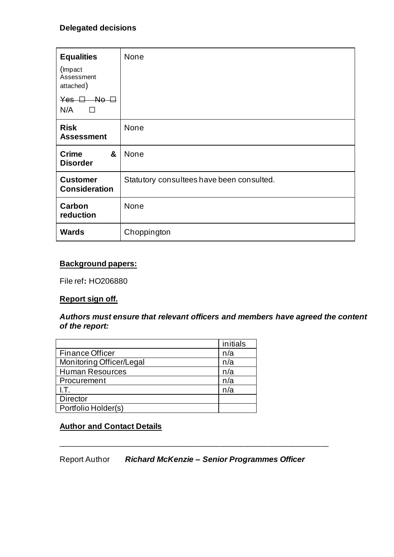# **Delegated decisions**

| <b>Equalities</b>                                                             | None                                      |  |
|-------------------------------------------------------------------------------|-------------------------------------------|--|
| (Impact)<br>Assessment<br>attached)                                           |                                           |  |
| $Yes$ $\Box$<br>$\overline{\mathsf{A}}$ o $\overline{\mathsf{A}}$<br>N/A<br>П |                                           |  |
| <b>Risk</b><br><b>Assessment</b>                                              | None                                      |  |
| &<br><b>Crime</b><br><b>Disorder</b>                                          | None                                      |  |
| <b>Customer</b><br><b>Consideration</b>                                       | Statutory consultees have been consulted. |  |
| Carbon<br>reduction                                                           | None                                      |  |
| <b>Wards</b>                                                                  | Choppington                               |  |

### **Background papers:**

File ref**:** HO206880

#### **Report sign off.**

#### *Authors must ensure that relevant officers and members have agreed the content of the report:*

|                          | initials |
|--------------------------|----------|
| <b>Finance Officer</b>   | n/a      |
| Monitoring Officer/Legal | n/a      |
| <b>Human Resources</b>   | n/a      |
| Procurement              | n/a      |
| LT.                      | n/a      |
| <b>Director</b>          |          |
| Portfolio Holder(s)      |          |

# **Author and Contact Details**

Report Author *Richard McKenzie – Senior Programmes Officer*

\_\_\_\_\_\_\_\_\_\_\_\_\_\_\_\_\_\_\_\_\_\_\_\_\_\_\_\_\_\_\_\_\_\_\_\_\_\_\_\_\_\_\_\_\_\_\_\_\_\_\_\_\_\_\_\_\_\_\_\_\_\_\_\_\_\_\_